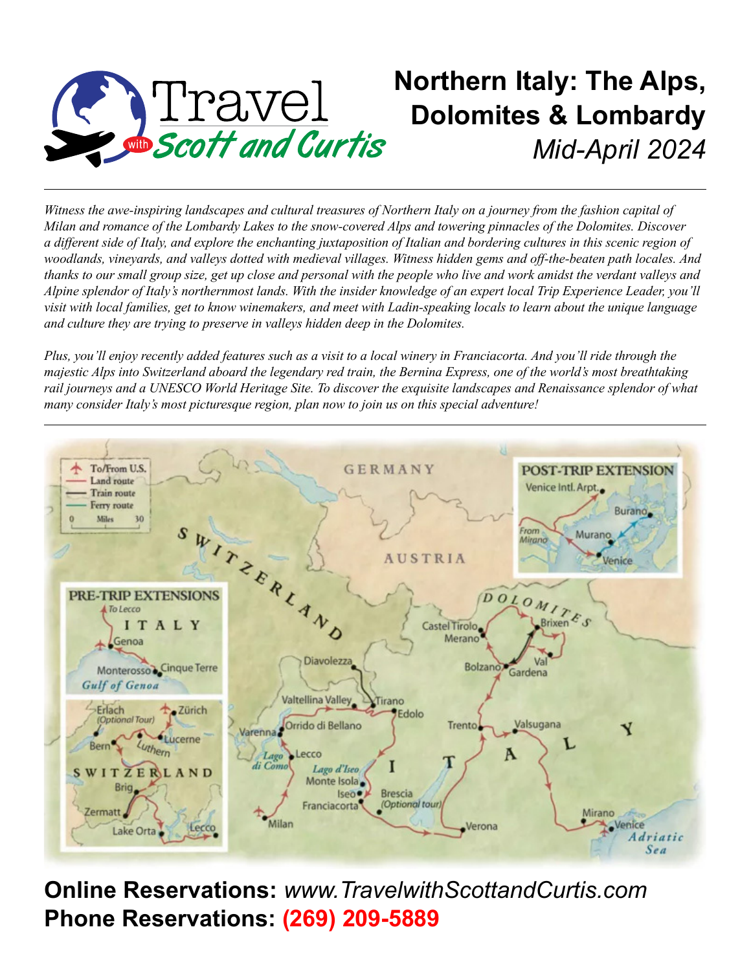

# **Northern Italy: The Alps, Dolomites & Lombardy** *Mid-April 2024*

*Witness the awe-inspiring landscapes and cultural treasures of Northern Italy on a journey from the fashion capital of Milan and romance of the Lombardy Lakes to the snow-covered Alps and towering pinnacles of the Dolomites. Discover a different side of Italy, and explore the enchanting juxtaposition of Italian and bordering cultures in this scenic region of woodlands, vineyards, and valleys dotted with medieval villages. Witness hidden gems and off-the-beaten path locales. And thanks to our small group size, get up close and personal with the people who live and work amidst the verdant valleys and Alpine splendor of Italy's northernmost lands. With the insider knowledge of an expert local Trip Experience Leader, you'll visit with local families, get to know winemakers, and meet with Ladin-speaking locals to learn about the unique language and culture they are trying to preserve in valleys hidden deep in the Dolomites.*

*Plus, you'll enjoy recently added features such as a visit to a local winery in Franciacorta. And you'll ride through the majestic Alps into Switzerland aboard the legendary red train, the Bernina Express, one of the world's most breathtaking rail journeys and a UNESCO World Heritage Site. To discover the exquisite landscapes and Renaissance splendor of what many consider Italy's most picturesque region, plan now to join us on this special adventure!*



**Online Reservations:** *www.TravelwithScottandCurtis.com* **Phone Reservations: (269) 209-5889**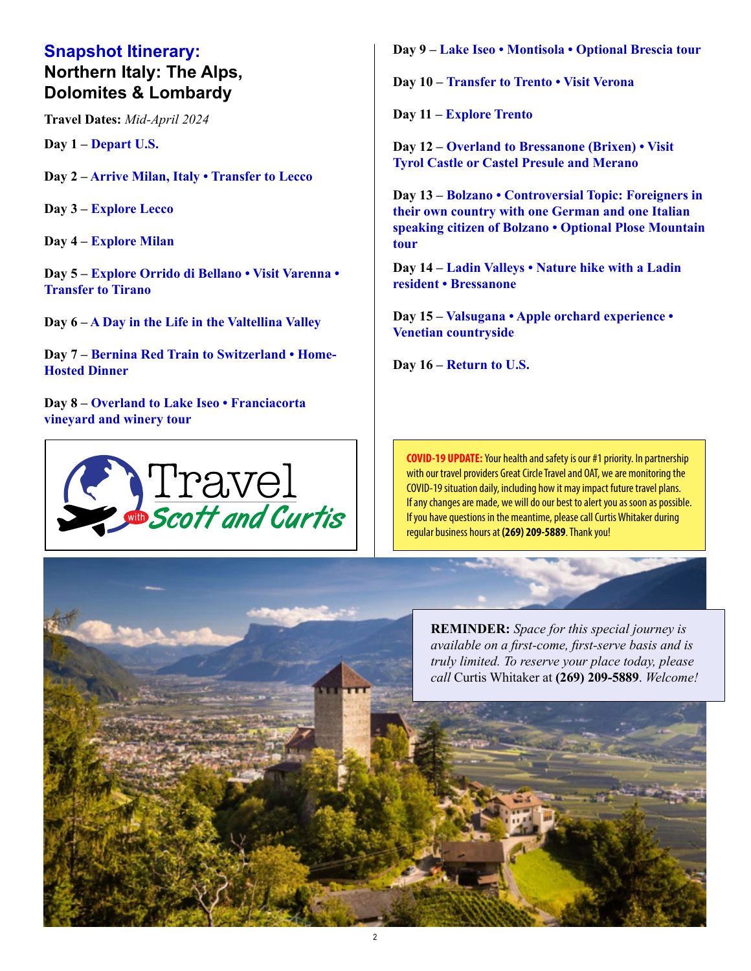#### **Snapshot Itinerary: Northern Italy: The Alps, Dolomites & Lombardy**

**Travel Dates:** *Mid-April 2024*

**Day 1 – Depart U.S.**

**Day 2 – Arrive Milan, Italy • Transfer to Lecco**

**Day 3 – Explore Lecco**

**Day 4 – Explore Milan**

**Day 5 – Explore Orrido di Bellano • Visit Varenna • Transfer to Tirano**

**Day 6 – A Day in the Life in the Valtellina Valley**

**Day 7 – Bernina Red Train to Switzerland • Home-Hosted Dinner**

**Day 8 – Overland to Lake Iseo • Franciacorta vineyard and winery tour**



**Day 9 – Lake Iseo • Montisola • Optional Brescia tour**

**Day 10 – Transfer to Trento • Visit Verona**

**Day 11 – Explore Trento**

**Day 12 – Overland to Bressanone (Brixen) • Visit Tyrol Castle or Castel Presule and Merano**

**Day 13 – Bolzano • Controversial Topic: Foreigners in their own country with one German and one Italian speaking citizen of Bolzano • Optional Plose Mountain tour**

**Day 14 – Ladin Valleys • Nature hike with a Ladin resident • Bressanone**

**Day 15 – Valsugana • Apple orchard experience • Venetian countryside**

**Day 16 – Return to U.S.** 

**COVID-19 UPDATE:** Your health and safety is our #1 priority. In partnership with our travel providers Great Circle Travel and OAT, we are monitoring the COVID-19 situation daily, including how it may impact future travel plans. If any changes are made, we will do our best to alert you as soon as possible. If you have questions in the meantime, please call Curtis Whitaker during regular business hours at **(269) 209-5889**. Thank you!

**REMINDER:** *Space for this special journey is available on a first-come, first-serve basis and is truly limited. To reserve your place today, please call* Curtis Whitaker at **(269) 209-5889**. *Welcome!*